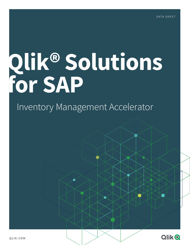# **Qlik® Solutions for SAP**

## Inventory Management Accelerator



**QLIK.COM**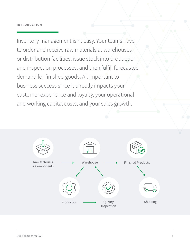Inventory management isn't easy. Your teams have to order and receive raw materials at warehouses or distribution facilities, issue stock into production and inspection processes, and then fulfill forecasted demand for finished goods. All important to business success since it directly impacts your customer experience and loyalty, your operational and working capital costs, and your sales growth.

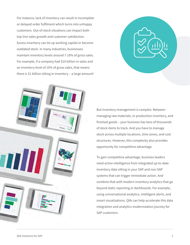For instance, lack of inventory can result in incomplete or delayed order fulfilment which turns into unhappy customers. Out-of-stock situations can impact both top-line sales growth and customer satisfaction. Excess inventory can tie up working capital or become outdated stock. In many industries, businesses maintain inventory levels around 7-18% of gross sales. For example, if a company had \$10 billion in sales and an inventory level of 10% of gross sales, that means there is \$1 billion sitting in inventory – a large amount!





But inventory management is complex. Between managing raw materials, in-production inventory, and finished goods – your business has tens of thousands of stock items to track. And you have to manage stock across multiple locations, time zones, and cost structures. However, this complexity also provides opportunity for competitive advantage.

To gain competitive advantage, business leaders need active intelligence from integrated up-to-date inventory data sitting in your SAP and non-SAP systems that can trigger immediate action. And combine that with modern inventory analytics that go beyond static reporting or dashboards. For example, using conversational analytics, intelligent alerts, and smart visualizations. Qlik can help accelerate this data integration and analytics modernization journey for SAP customers.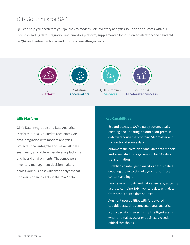### Qlik Solutions for SAP

Qlik can help you accelerate your journey to modern SAP inventory analytics solution and success with our industry-leading data integration and analytics platform, supplemented by solution accelerators and delivered by Qlik and Partner technical and business consulting experts.



#### **Qlik Platform**

Qlik's Data Integration and Data Analytics Platform is ideally suited to accelerate SAP data integration with modern analytics projects. It can integrate and make SAP data seamlessly available across diverse platforms and hybrid environments. That empowers inventory management decision makers across your business with data analytics that uncover hidden insights in their SAP data.

#### **Key Capabilities**

- Expand access to SAP data by automatically creating and updating a cloud or on-premise data warehouse that contains SAP master and transactional source data
- Automate the creation of analytics data models and associated code generation for SAP data transformation
- Establish an intelligent analytics data pipeline enabling the reflection of dynamic business content and logic
- Enable new insights and data science by allowing users to combine SAP inventory data with data from other trusted data sources
- Augment user abilities with AI-powered capabilities such as conversational analytics
- Notify decision makers using intelligent alerts when anomalies occur or business exceeds critical thresholds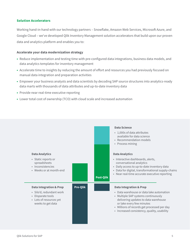#### **Solution Accelerators**

Working hand-in-hand with our technology partners – Snowflake, Amazon Web Services, Microsoft Azure, and Google Cloud – we've developed Qlik Inventory Management solution accelerators that build upon our proven data and analytics platform and enables you to:

#### **Accelerate your data modernization strategy**

- **•** Reduce implementation and testing time with pre-configured data integrations, business data models, and data analytics templates for inventory management
- **•** Accelerate time to insights by reducing the amount of effort and resources you had previously focused on manual data integration and preparation activities
- **•** Empower your business analysts and data scientists by decoding SAP source structures into analytics-ready data marts with thousands of data attributes and up-to-date inventory data
- **•** Provide near real-time executive reporting
- **•** Lower total cost of ownership (TCO) with cloud scale and increased automation

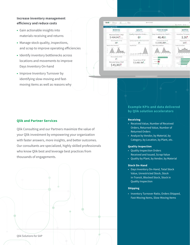#### **Increase inventory management efficiency and reduce costs**

- **•** Gain actionable insights into materials receiving and returns
- **•** Manage stock quality, inspections, and scrap to improve operating efficiencies
- **•** Identify inventory bottlenecks across locations and movements to improve Days Inventory On-hand
- **•** Improve Inventory Turnover by identifying slow-moving and fastmoving items as well as reasons why



#### **Qlik and Partner Services**

Qlik Consulting and our Partners maximize the value of your Qlik investment by empowering your organization with faster answers, more insights, and better outcomes. Our consultants are specialized, highly skilled professionals who know Qlik best and leverage best practices from thousands of engagements.



#### **Example KPIs and data delivered by Qlik solution accelerators**

#### **Receiving**

- Received Value, Number of Received Orders, Returned Value, Number of Returned Orders
- Analyze by Vendor, by Material, by Category, by Location, by Plant, etc.

#### **Quality Inspection**

- Quality Inspection Orders Received and Issued, Scrap Value
- Quality by Plant, by Vendor, by Material

#### **Stock On-Hand**

• Days Inventory On-Hand, Total Stock Value, Unrestricted Stock, Stock in-Transit, Blocked Stock, Stock in Quality Inspection

#### **Shipping**

• Inventory Turnover Ratio, Orders Shipped, Fast-Moving Items, Slow-Moving Items